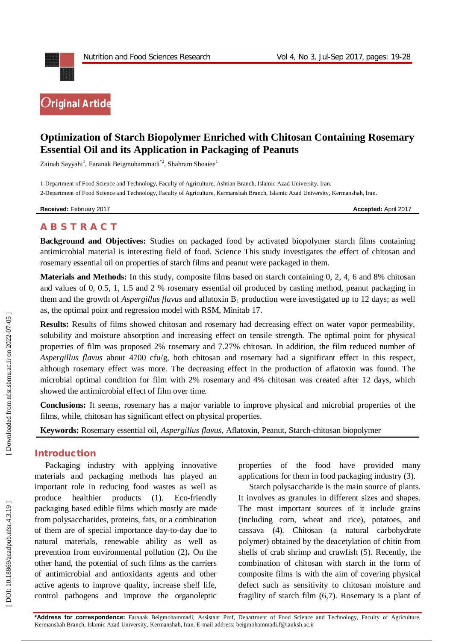

# **Optimization of Starch Biopolymer Enriched with Chitosan Containing Rosemary Essential Oil and its Application in Packaging of Peanuts**

Zainab Sayyahi<sup>1</sup>, Faranak Beigmohammadi<sup>\*2</sup>, Shahram Shoaiee<sup>1</sup>

1 -Department of Food Science and Technology, Faculty of Agriculture, Ashtian Branch, Islamic Azad University, Iran. 2 -Department of Food Science and Technology, Faculty of Agriculture, Kermanshah Branch, Islamic Azad University, Kermanshah, Iran .

**Received:** February 201

7 **Accepted:** April 201 7

## **A B S T R A C T**

**Background and Objectives:** Studies on packaged food by activated biopolymer starch films containing antimicrobial material is interesting field of food. Science This study investigates the effect of chitosan and rosemary essential oil on properties of starch films and peanut were packaged in them.

**Materials and Methods:** In this study, composite films based on starch containing 0, 2, 4, 6 and 8% chitosan and values of 0, 0.5, 1, 1.5 and 2 % rosemary essential oil produced by casting method, peanut packaging in them and the growth of *Aspergillus flavus* and aflatoxin B <sup>1</sup> production were investigated up to 12 days; as well as, the optimal point and regression model with RSM, Minitab 17.

**Results:** Results of films showed chitosan and rosemary had decreasing effect on water vapor permeability, solubility and moisture absorption and increasing effect on tensile strength. The optimal point for physical properties of film was proposed 2% rosemary and 7.27% chitosan. In addition, the film reduced number of *Aspergillus flavus* about 4700 cfu/g, both chitosan and rosemary had a significant effect in this respect, although rosemary effect was more. The decreasing effect in the production of aflatoxin was found. The microbial optimal condition for film with 2% rosemary and 4% chitosan was created after 12 days, which showed the antimicrobial effect of film over time.

**Conclusions:** It seems, rosemary has a major variable to improve physical and microbial properties of the films, while, chitosan has significant effect on physical properties.

**Keywords:** Rosemary essential oil, *Aspergillus flavus*, Aflatoxin, Peanut, Starch -chitosan biopolymer

### **Introduction**

Packaging industry with applying innovative materials and packaging methods has played an important role in reducing food wastes as well as produce healthier products  $(1)$ . Eco-friendly packaging based edible films which mostly are made from polysaccharides, proteins, fats, or a combination of them are of special importance day -to -day due to natural materials, renewable ability as well as prevention from environmental pollution ( 2 )**.** On the other hand, the potential of such films as the carriers of antimicrobial and antioxidants agents and other active agents to improve quality, increase shelf life, control pathogens and improve the organoleptic

properties of the food have provided many applications for them in food packaging industry (3).

Starch polysaccharide is the main source of plants. It involves as granules in different sizes and shapes. The most important sources of it include grains (including corn, wheat and rice), potatoes, and cassava (4). Chitosan (a natural carbohydrate polymer) obtained by the deacetylation of chitin from shells of crab shrimp and crawfish (5). Recently, the combination of chitosan with starch in the form of composite films is with the aim of covering physical defect such as sensitivity to chitosan moisture and fragility of starch film (6,7). Rosemary is a plant of

**\*Address for correspondence:** Faranak Beigmohammadi, Assistant Prof, Department of Food Science and Technology, Faculty of Agriculture, Kermanshah Branch, Islamic Azad University, Kermanshah, Iran . E -mail address: beigmohammadi.f@iauksh.ac.ir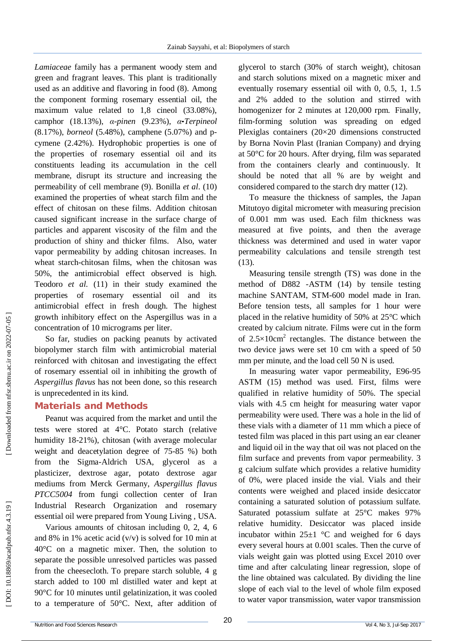*Lamiaceae* family has a permanent woody stem and green and fragrant leaves. This plant is traditionally used as an additive and flavoring in food (8). Among the component forming rosemary essential oil, the maximum value related to 1,8 cineol (33 .08%), camphor (18 .13%), *α -pinen* (9.23%), *α -Terpineol* (8.17%), *borneol* (5.48%), camphene (5.07%) and pcymene (2 .42%). Hydrophobic properties is one of the properties of rosemary essential oil and its constituents leading its accumulation in the cell membrane, disrupt its structure and increasing the permeability of cell membrane (9). Bonilla *et al*. (10) examined the properties of wheat starch film and the effect of chitosan on these films. Addition chitosan caused significant increase in the surface charge of particles and apparent viscosity of the film and the production of shiny and thicker films. Also, water vapor permeability by adding chitosan increases. In wheat starch -chitosan films, when the chitosan was 50%, the antimicrobial effect observed is high. Teodoro *et al.* (11) in their study examined the properties of rosemary essential oil and its antimicrobial effect in fresh dough. The highest growth inhibitory effect on the Aspergillus was in a concentration of 10 micrograms per liter.

So far, studies on packing peanuts by activated biopolymer starch film with antimicrobial material reinforced with chitosan and investigating the effect of rosemary essential oil in inhibiting the growth of *Aspergillus flavus* has not been done, so this research is unprecedented in its kind.

### **Material s and Methods**

Peanut was acquired from the market and until the tests were stored at 4°C. Potato starch (relative humidity 18 -21%), chitosan (with average molecular weight and deacetylation degree of 75 -85 %) both from the Sigma -Aldrich USA, glycerol as a plasticizer, dextrose agar, potato dextrose agar mediums from Merck Germany, *Aspergillus flavus PTCC5004* from fungi collection center of Iran Industrial Research Organization and rosemary essential oil were prepared from Young Living , USA.

Various amounts of chitosan including 0, 2, 4, 6 and 8% in 1% acetic acid  $(v/v)$  is solved for 10 min at 40°C on a magnetic mixer. Then, the solution to separate the possible unresolved particles was passed from the cheesecloth. To prepare starch soluble, 4 g starch added to 100 ml distilled water and kept at 90°C for 10 minutes until gelatinization , it was cooled to a temperature of 50°C. Next, after addition of

glycerol to starch (30% of starch weight), chitosan and starch solutions mixed on a magnetic mixer and eventually rosemary essential oil with 0, 0.5, 1, 1.5 and 2% added to the solution and stirred with homogenizer for 2 minutes at 120,000 rpm. Finally, film -forming solution was spreading on edged Plexiglas containers (20×20 dimensions constructed by Borna Novin Plast (Iranian Company) and drying at 50°C for 20 hours. After drying, film was separated from the containers clearly and continuously. It should be noted that all % are by weight and considered compared to the starch dry matter (12).

To measure the thickness of samples, the Japan Mitutoyo digital micrometer with measuring precision of 0.001 mm was used. Each film thickness was measured at five points, and then the average thickness was determined and used in water vapor permeability calculations and tensile strength test (13).

Measuring tensile strength (TS) was done in the method of D882 -ASTM (14) by tensile testing machine SANTAM, STM -600 model made in Iran. Before tension tests, all samples for 1 hour were placed in the relative humidity of 50% at 25°C which created by calcium nitrate. Films were cut in the form of  $2.5 \times 10$ cm<sup>2</sup> rectangles. The distance between the two device jaws were set 10 cm with a speed of 50 mm per minute, and the load cell 50 N is used.

In measuring water vapor permeability, E96 -95 ASTM (15) method was used. First, films were qualified in relative humidity of 50%. The special vials with 4.5 cm height for measuring water vapor permeability were used. There was a hole in the lid of these vials with a diameter of 11 mm which a piece of tested film was placed in this part using an ear cleaner and liquid oil in the way that oil was not placed on the film surface and prevents from vapor permeability. 3 g calcium sulfate which provides a relative humidity of 0%, were placed inside the vial. Vials and their contents were weighed and placed inside desiccator containing a saturated solution of potassium sulfate. Saturated potassium sulfate at 25°C makes 97% relative humidity. Desiccator was placed inside incubator within  $25\pm1$  °C and weighed for 6 days every several hours at 0.001 scales. Then the curve of vials weight gain was plotted using Excel 2010 over time and after calculating linear regression, slope of the line obtained was calculated. By dividing the line slope of each vial to the level of whole film exposed to water vapor transmission, water vapor transmission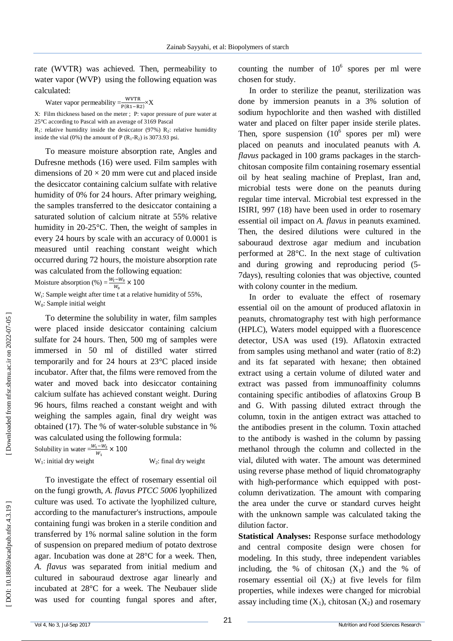rate (WVTR) was achieved. Then, permeability to water vapor (WVP) using the following equation was calculated:

Water vapor permeability  $=\frac{WVTR}{P(PA-P)}$  $\frac{WV1R}{P(R1-R2)} \times X$ 

X: Film thickness based on the meter ; P: vapor pressure of pure water at 25°C according to Pascal with an average of 3169 Pascal<br> $R_1$ : relative humidity inside the desiccator (97%)  $R_2$ : relative humidity

inside the vial (0%) the amount of  $P(R_1-R_2)$  is 3073.93 psi.

To measure moisture absorption rate, Angles and Dufresne methods (16) were used. Film samples with dimensions of  $20 \times 20$  mm were cut and placed inside the desiccator containing calcium sulfate with relative humidity of 0% for 24 hours. After primary weighing, the samples transferred to the desiccator containing a saturated solution of calcium nitrate at 55% relative humidity in 20 -25°C. Then, the weight of samples in every 24 hours by scale with an accuracy of 0.0001 is measured until reaching constant weight which occurred during 72 hours, the moisture absorption rate was calculated from the following equation:

Moisture absorption  $\left(\% \right) = \frac{W_t - W_0}{W}$  $\frac{e^{-w_0}}{w_0}$  × 100

 $W_t$ : Sample weight after time t at a relative humidity of 55%, W <sup>0</sup>: Sample initial weight

To determine the solubility in water, film samples were placed inside desiccator containing calcium sulfate for 24 hours. Then, 500 mg of samples were immersed in 50 ml of distilled water stirred temporarily and for 24 hours at 23°C placed inside incubator. After that, the films were removed from the water and moved back into desiccator containing calcium sulfate has achieved constant weight. During 96 hours, films reached a constant weight and with weighing the samples again, final dry weight was obtained (17). The % of water -soluble substance in % was calculated using the following formula:

Solubility in water  $=\frac{W_1-W_2}{W_1}$  $\frac{1 - w_2}{w_1} \times 100$  $W_1$ : initial dry weight W

 $W_2$ : final dry weight

To investigate the effect of rosemary essential oil on the fungi growth, *A. flavus PTCC 5006* lyophilized culture was used. To activate the lyophilized culture, according to the manufacturer's instructions, ampoule containing fungi was broken in a sterile condition and transferred by 1% normal saline solution in the form of suspension on prepared medium of potato dextrose agar. Incubation was done at 28°C for a week. Then, *A. flavus* was separated from initial medium and cultured in sabouraud dextrose agar linearly and incubated at 28°C for a week. The Neubauer slide was used for counting fungal spores and after,

counting the number of  $10^6$  spores per ml were chosen for study.

In order to sterilize the peanut, sterilization was done by immersion peanuts in a 3% solution of sodium hypochlorite and then washed with distilled water and placed on filter paper inside sterile plates. Then, spore suspension  $(10^6 \text{ spores per ml})$  were placed on peanuts and inoculated peanuts with *A. flavus* packaged in 100 grams packages in the starch chitosan composite film containing rosemary essential oil by heat sealing machine of Preplast, Iran and, microbial tests were done on the peanuts during regular time interval. Microbial test expressed in the ISIRI, 997 (18) have been used in order to rosemary essential oil impact on *A. flavus* in peanuts examined. Then, the desired dilutions were cultured in the sabouraud dextrose agar medium and incubation performed at 28°C. In the next stage of cultivation and during growing and reproducing period (5 - 7days), resulting colonies that was objective, counted with colony counter in the medium.

In order to evaluate the effect of rosemary essential oil on the amount of produced aflatoxin in peanuts, chromatography test with high performance (HPLC), Waters model equipped with a fluorescence detector, USA was used (19). Aflatoxin extracted from samples using methanol and water (ratio of 8:2) and its fat separated with hexane; then obtained extract using a certain volume of diluted water and extract was passed from immunoaffinity columns containing specific antibodies of aflatoxins Group B and G. With passing diluted extract through the column, toxin in the antigen extract was attached to the antibodies present in the column. Toxin attached to the antibody is washed in the column by passing methanol through the column and collected in the vial, diluted with water. The amount was determined using reverse phase method of liquid chromatography with high -performance which equipped with post column derivatization. The amount with comparing the area under the curve or standard curves height with the unknown sample was calculated taking the dilution factor.

**Statistical Analyses:** Response surface methodology and central composite design were chosen for modeling. In this study, three independent variables including, the % of chitosan  $(X_1)$  and the % of rosemary essential oil  $(X_2)$  at five levels for film properties, while indexes were changed for microbial assay including time  $(X_1)$ , chitosan  $(X_2)$  and rosemary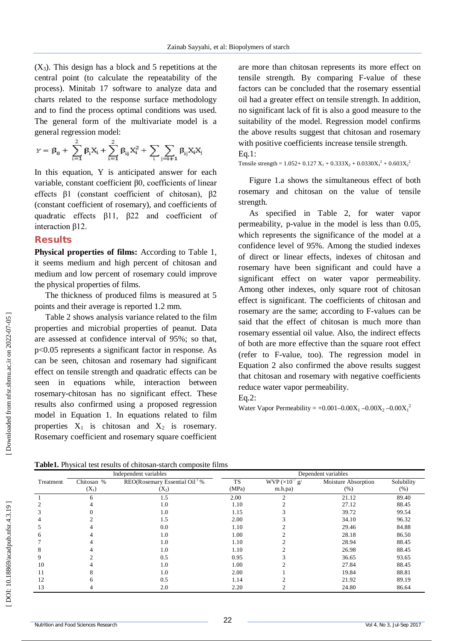$(X_3)$ . This design has a block and 5 repetitions at the central point (to calculate the repeatability of the process). Minitab 17 software to analyze data and charts related to the response surface methodology and to find the process optimal conditions was used. The general form of the multivariate model is a general regression model:

$$
\gamma = \beta_0 + \sum_{i=1}^2 \beta_i X_i + \sum_{i=1}^2 \beta_{ij} X_i^2 + \sum_i \sum_{j=i+1} \beta_{ij} X_i X_j
$$

In this equation, Y is anticipated answer for each variable, constant coefficient β0, coefficients of linear effects β1 (constant coefficient of chitosan), β2 (constant coefficient of rosemary), and coefficients of quadratic effects β11, β22 and coefficient of interaction β12.

#### **Results**

**Physical properties of films:** According to Table 1, it seems medium and high percent of chitosan and medium and low percent of rosemary could improve the physical properties of films.

The thickness of produced films is measured at 5 points and their average is reported 1.2 mm.

Table 2 shows analysis variance related to the film properties and microbial properties of peanut. Data are assessed at confidence interval of 95%; so that, p<0.05 represents a significant factor in response. As can be seen, chitosan and rosemary had significant effect on tensile strength and quadratic effects can be seen in equations while, interaction between rosemary -chitosan has no significant effect. These results also confirmed using a proposed regression model in Equation 1. In equations related to film properties  $X_1$  is chitosan and  $X_2$  is rosemary. Rosemary coefficient and rosemary square coefficient

are more than chitosan represents its more effect on tensile strength. By comparing F -value of these factors can be concluded that the rosemary essential oil had a greater effect on tensile strength. In addition, no significant lack of fit is also a good measure to the suitability of the model. Regression model confirms the above results suggest that chitosan and rosemary with positive coefficients increase tensile strength. Eq.1:

Tensile strength =  $1.052 + 0.127$  X<sub>1</sub> +  $0.333X_2 + 0.0330X_1^2 + 0.603X_2^2$ 

Figure 1.a shows the simultaneous effect of both rosemary and chitosan on the value of tensile strength.

As specified in Table 2, for water vapor permeability, p -value in the model is less than 0.05, which represents the significance of the model at a confidence level of 95%. Among the studied indexes of direct or linear effects, indexes of chitosan and rosemary have been significant and could have a significant effect on water vapor permeability. Among other indexes, only square root of chitosan effect is significant. The coefficients of chitosan and rosemary are the same; according to F -values can be said that the effect of chitosan is much more than rosemary essential oil value. Also, the indirect effects of both are more effective than the square root effect (refer to F-value, too). The regression model in Equation 2 also confirmed the above results suggest that chitosan and rosemary with negative coefficients reduce water vapor permeability.

Eq.2:

Water Vapor Permeability =  $+0.001 - 0.00X_1 - 0.00X_2 - 0.00X_1^2$ 

|                       |  | <b>Table1.</b> Physical test results of chitosan-starch composite films |  |  |  |  |
|-----------------------|--|-------------------------------------------------------------------------|--|--|--|--|
| Independent variables |  |                                                                         |  |  |  |  |

|           |            | Independent variables                     | Dependent variables |                                               |                     |            |  |
|-----------|------------|-------------------------------------------|---------------------|-----------------------------------------------|---------------------|------------|--|
| Treatment | Chitosan % | REO(Rosemary Essential Oil <sup>)</sup> % | <b>TS</b>           | $\overline{\text{WVP}}$ (×10 <sup>-7</sup> g/ | Moisture Absorption | Solubility |  |
|           | $(X_1)$    | $(X_2)$                                   | (MPa)               | m.h.pa)                                       | $(\%)$              | (%)        |  |
|           | 6          | 1.5                                       | 2.00                |                                               | 21.12               | 89.40      |  |
|           |            | 1.0                                       | 1.10                |                                               | 27.12               | 88.45      |  |
|           |            | 1.0                                       | 1.15                |                                               | 39.72               | 99.54      |  |
|           |            | 1.5                                       | 2.00                |                                               | 34.10               | 96.32      |  |
|           |            | 0.0                                       | 1.10                |                                               | 29.46               | 84.88      |  |
|           |            | 1.0                                       | 1.00                |                                               | 28.18               | 86.50      |  |
|           |            | 1.0                                       | 1.10                |                                               | 28.94               | 88.45      |  |
|           |            | 1.0                                       | 1.10                |                                               | 26.98               | 88.45      |  |
|           |            | 0.5                                       | 0.95                |                                               | 36.65               | 93.65      |  |
| 10        |            | 1.0                                       | 1.00                |                                               | 27.84               | 88.45      |  |
|           |            | 1.0                                       | 2.00                |                                               | 19.84               | 88.81      |  |
| 12        |            | 0.5                                       | 1.14                |                                               | 21.92               | 89.19      |  |
| 13        |            | 2.0                                       | 2.20                |                                               | 24.80               | 86.64      |  |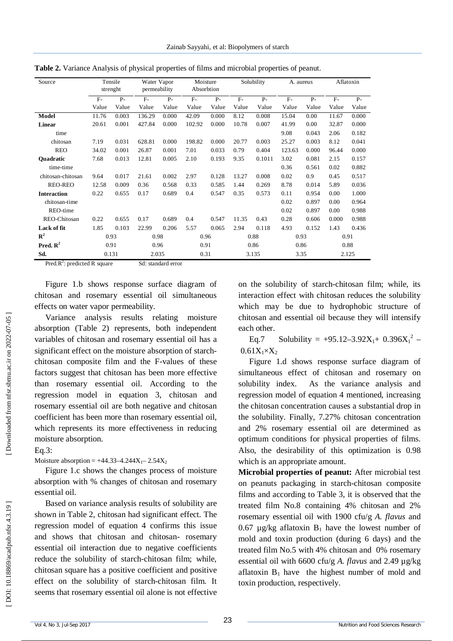| Source               |       | Tensile<br>strenght | Water Vapor<br>permeability |       | Moisture<br>Absorbtion |       |       | Solubility | A. aureus |       | Aflatoxin |       |
|----------------------|-------|---------------------|-----------------------------|-------|------------------------|-------|-------|------------|-----------|-------|-----------|-------|
|                      | $F -$ | $P -$               | $F-$                        | $P -$ | $F-$                   | $P -$ | $F-$  | $P -$      | $F-$      | $P -$ | $F-$      | $P -$ |
|                      | Value | Value               | Value                       | Value | Value                  | Value | Value | Value      | Value     | Value | Value     | Value |
| Model                | 11.76 | 0.003               | 136.29                      | 0.000 | 42.09                  | 0.000 | 8.12  | 0.008      | 15.04     | 0.00  | 11.67     | 0.000 |
| Linear               | 20.61 | 0.001               | 427.84                      | 0.000 | 102.92                 | 0.000 | 10.78 | 0.007      | 41.99     | 0.00  | 32.87     | 0.000 |
| time                 |       |                     |                             |       |                        |       |       |            | 9.08      | 0.043 | 2.06      | 0.182 |
| chitosan             | 7.19  | 0.031               | 628.81                      | 0.000 | 198.82                 | 0.000 | 20.77 | 0.003      | 25.27     | 0.003 | 8.12      | 0.041 |
| <b>REO</b>           | 34.02 | 0.001               | 26.87                       | 0.001 | 7.01                   | 0.033 | 0.79  | 0.404      | 123.63    | 0.000 | 96.44     | 0.000 |
| <b>Ouadratic</b>     | 7.68  | 0.013               | 12.81                       | 0.005 | 2.10                   | 0.193 | 9.35  | 0.1011     | 3.02      | 0.081 | 2.15      | 0.157 |
| time-time            |       |                     |                             |       |                        |       |       |            | 0.36      | 0.561 | 0.02      | 0.882 |
| chitosan-chitosan    | 9.64  | 0.017               | 21.61                       | 0.002 | 2.97                   | 0.128 | 13.27 | 0.008      | 0.02      | 0.9   | 0.45      | 0.517 |
| <b>REO-REO</b>       | 12.58 | 0.009               | 0.36                        | 0.568 | 0.33                   | 0.585 | 1.44  | 0.269      | 8.78      | 0.014 | 5.89      | 0.036 |
| <b>Interaction</b>   | 0.22  | 0.655               | 0.17                        | 0.689 | 0.4                    | 0.547 | 0.35  | 0.573      | 0.11      | 0.954 | 0.00      | 1.000 |
| chitosan-time        |       |                     |                             |       |                        |       |       |            | 0.02      | 0.897 | 0.00      | 0.964 |
| REO-time             |       |                     |                             |       |                        |       |       |            | 0.02      | 0.897 | 0.00      | 0.988 |
| REO-Chitosan         | 0.22  | 0.655               | 0.17                        | 0.689 | 0.4                    | 0.547 | 11.35 | 0.43       | 0.28      | 0.606 | 0.000     | 0.988 |
| Lack of fit          | 1.85  | 0.103               | 22.99                       | 0.206 | 5.57                   | 0.065 | 2.94  | 0.118      | 4.93      | 0.152 | 1.43      | 0.436 |
| ${\bf R}^2$          | 0.93  |                     | 0.98                        |       | 0.96                   |       |       | 0.88       | 0.93      |       | 0.91      |       |
| Pred. $\mathbb{R}^2$ | 0.91  |                     | 0.96                        |       | 0.91                   |       |       | 0.86       | 0.86      |       | 0.88      |       |
| Sd.                  | 0.131 |                     | 2.035                       |       | 0.31                   |       |       | 3.135      | 3.35      |       |           | 2.125 |

**Table 2.** Variance Analysis of physical properties of films and microbial properties of peanut.

Pred. $R^2$ : predicted R square Sd: standard error

Figure 1.b shows response surface diagram of chitosan and rosemary essential oil simultaneous effects on water vapor permeability.

Variance analysis results relating moisture absorption (Table 2) represents, both independent variables of chitosan and rosemary essential oil has a significant effect on the moisture absorption of starch chitosan composite film and the F -values of these factors suggest that chitosan has been more effective than rosemary essential oil. According to the regression model in equation 3, chitosan and rosemary essential oil are both negative and chitosan coefficient has been more than rosemary essential oil, which represents its more effectiveness in reducing moisture absorption.

# $Eq.3$ :

Moisture absorption =  $+44.33-4.244X_1 - 2.54X_2$ 

Figure 1.c shows the changes process of moisture absorption with % changes of chitosan and rosemary essential oil.

Based on variance analysis results of solubility are shown in Table 2, chitosan had significant effect. The regression model of equation 4 confirms this issue and shows that chitosan and chitosan - rosemary essential oil interaction due to negative coefficients reduce the solubility of starch -chitosan film; while, chitosan square has a positive coefficient and positive effect on the solubility of starch -chitosan film. It seems that rosemary essential oil alone is not effective

on the solubility of starch -chitosan film; while, its interaction effect with chitosan reduces the solubility which may be due to hydrophobic structure of chitosan and essential oil because they will intensify each other.

Eq.7 Solubility =  $+95.12-3.92X_1+ 0.396X_1^2$  –  $0.61X_1\times X_2$ 

Figure 1.d shows response surface diagram of simultaneous effect of chitosan and rosemary on solubility index. As the variance analysis and regression model of equation 4 mentioned, increasing the chitosan concentration causes a substantial drop in the solubility. Finally, 7.27% chitosan concentration and 2% rosemary essential oil are determined as optimum conditions for physical properties of films. Also, the desirability of this optimization is 0.98 which is an appropriate amount.

**Microbial properties of peanut:** After microbial test on peanuts packaging in starch -chitosan composite films and according to Table 3, it is observed that the treated film No.8 containing 4% chitosan and 2% rosemary essential oil with 1900 cfu/g *A. flavus* and 0.67  $\mu$ g/kg aflatoxin  $B_1$  have the lowest number of mold and toxin production (during 6 days) and the treated film No.5 with 4% chitosan and 0% rosemary essential oil with 6600 cfu/g *A . flavus* and 2.49 µg/kg aflatoxin  $B_1$  have the highest number of mold and toxin production, respectively.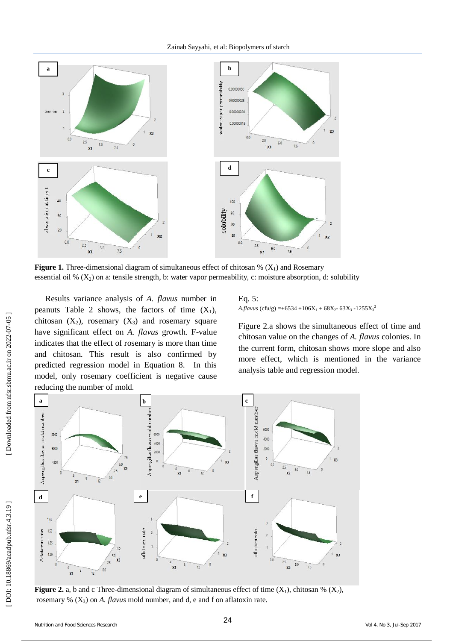

**Figure 1.** Three-dimensional diagram of simultaneous effect of chitosan  $\%$  ( $X_1$ ) and Rosemary essential oil %  $(X_2)$  on a: tensile strength, b: water vapor permeability, c: moisture absorption, d: solubility

Results variance analysis of *A. flavus* number in peanuts Table 2 shows, the factors of time  $(X_1)$ , chitosan  $(X_2)$ , rosemary  $(X_3)$  and rosemary square have significant effect on *A. flavus* growth. F -value indicates that the effect of rosemary is more than time and chitosan. This result is also confirmed by predicted regression model in Equation 8. In this model, only rosemary coefficient is negative cause reducing the number of mold.

Eq. 5: *A.flavus* (cfu/g) =+6534 +106X<sub>1</sub> + 68X<sub>2</sub>- 63X<sub>3</sub> -1255X<sub>3</sub><sup>2</sup>

Figure 2.a shows the simultaneous effect of time and chitosan value on the changes of *A. flavus* colonies. In the current form, chitosan shows more slope and also more effect, which is mentioned in the variance analysis table and regression model.



**Figure 2.** a, b and c Three-dimensional diagram of simultaneous effect of time  $(X_1)$ , chitosan %  $(X_2)$ , rosemary % (X <sup>3</sup>) on *A . flavus* mold number, and d, e and f on aflatoxin rate.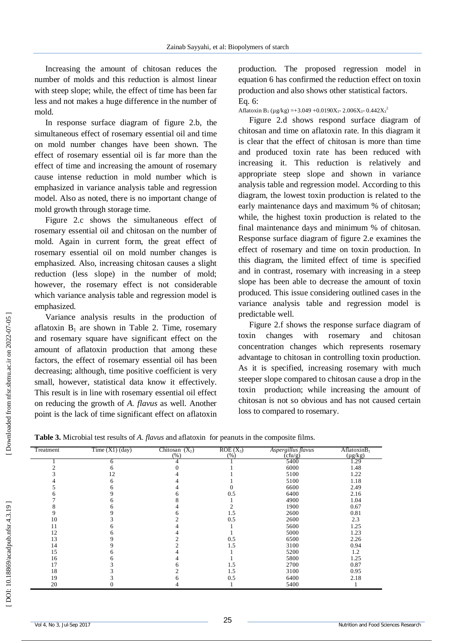Increasing the amount of chitosan reduces the number of molds and this reduction is almost linear with steep slope; while, the effect of time has been far less and not makes a huge difference in the number of mold.

In response surface diagram of figure 2.b, the simultaneous effect of rosemary essential oil and time on mold number changes have been shown. The effect of rosemary essential oil is far more than the effect of time and increasing the amount of rosemary cause intense reduction in mold number which is emphasized in variance analysis table and regression model. Also as noted, there is no important change of mold growth through storage time.

Figure 2.c shows the simultaneous effect of rosemary essential oil and chitosan on the number of mold. Again in current form, the great effect of rosemary essential oil on mold number changes is emphasized. Also, increasing chitosan causes a slight reduction (less slope) in the number of mold; however, the rosemary effect is not considerable which variance analysis table and regression model is emphasized.

Variance analysis results in the production of aflatoxin  $B_1$  are shown in Table 2. Time, rosemary and rosemary square have significant effect on the amount of aflatoxin production that among these factors, the effect of rosemary essential oil has been decreasing; although, time positive coefficient is very small, however, statistical data know it effectively. This result is in line with rosemary essential oil effect on reducing the growth of *A. flavus* as well. Another point is the lack of time significant effect on aflatoxin

production. The proposed regression model in equation 6 has confirmed the reduction effect on toxin production and also shows other statistical factors. Eq. 6:

Aflatoxin B<sub>1</sub> (µg/kg) = +3.049 + 0.0190X<sub>1</sub> - 2.006X<sub>3</sub> - 0.442X<sub>3</sub><sup>2</sup>

Figure 2.d shows respond surface diagram of chitosan and time on aflatoxin rate. In this diagram it is clear that the effect of chitosan is more than time and produced toxin rate has been reduced with increasing it. This reduction is relatively and appropriate steep slope and shown in variance analysis table and regression model. According to this diagram, the lowest toxin production is related to the early maintenance days and maximum % of chitosan; while, the highest toxin production is related to the final maintenance days and minimum % of chitosan. Response surface diagram of figure 2.e examines the effect of rosemary and time on toxin production. In this diagram, the limited effect of time is specified and in contrast, rosemary with increasing in a steep slope has been able to decrease the amount of toxin produced. This issue considering outlined cases in the variance analysis table and regression model is predictable well.

Figure 2.f shows the response surface diagram of toxin changes with rosemary and chitosan concentration changes which represents rosemary advantage to chitosan in controlling toxin production. As it is specified, increasing rosemary with much steeper slope compared to chitosan cause a drop in the toxin production; while increasing the amount of chitosan is not so obvious and has not caused certain loss to compared to rosemary.

| Table 3. Microbial test results of A. flavus and aflatoxin for peanuts in the composite films. |  |  |  |
|------------------------------------------------------------------------------------------------|--|--|--|
|------------------------------------------------------------------------------------------------|--|--|--|

| Treatment | Time $(X1)$ (day) | Chitosan $(X_2)$<br>(% ) | $ROE(X_3)$<br>(%) | Aspergillus flavus<br>$(\text{c}$ fu/g) | AflatoxinB <sub>1</sub><br>$(\mu g/kg)$ |
|-----------|-------------------|--------------------------|-------------------|-----------------------------------------|-----------------------------------------|
|           | n                 |                          |                   | 5400                                    | 1.29                                    |
|           |                   |                          |                   | 6000                                    | 1.48                                    |
|           | 12                |                          |                   | 5100                                    | 1.22                                    |
|           | h                 |                          |                   | 5100                                    | 1.18                                    |
|           |                   |                          |                   | 6600                                    | 2.49                                    |
|           |                   |                          | 0.5               | 6400                                    | 2.16                                    |
|           |                   |                          |                   | 4900                                    | 1.04                                    |
|           |                   |                          |                   | 1900                                    | 0.67                                    |
|           |                   |                          | 1.5               | 2600                                    | 0.81                                    |
| 10        |                   |                          | 0.5               | 2600                                    | 2.3                                     |
| ۱1        |                   |                          |                   | 5600                                    | 1.25                                    |
| 12        |                   |                          |                   | 5000                                    | 1.23                                    |
| 13        |                   |                          | 0.5               | 6500                                    | 2.26                                    |
| 14        |                   |                          | 1.5               | 3100                                    | 0.94                                    |
| 15        |                   |                          |                   | 5200                                    | 1.2                                     |
| 16        |                   |                          |                   | 5800                                    | 1.25                                    |
| 17        |                   |                          | 1.5               | 2700                                    | 0.87                                    |
| 18        |                   |                          | 1.5               | 3100                                    | 0.95                                    |
| 19        |                   |                          | 0.5               | 6400                                    | 2.18                                    |
| 20        |                   |                          |                   | 5400                                    |                                         |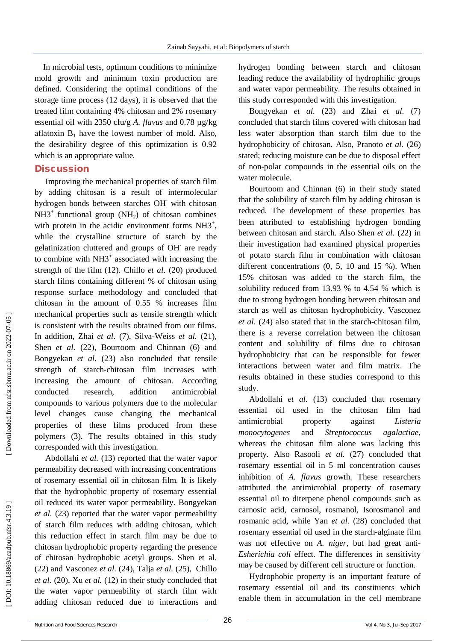In microbial tests, optimum conditions to minimize mold growth and minimum toxin production are defined. Considering the optimal conditions of the storage time process (12 days), it is observed that the treated film containing 4% chitosan and 2% rosemary essential oil with 2350 cfu/g *A. flavus* and 0.78 µg/kg aflatoxin  $B_1$  have the lowest number of mold. Also, the desirability degree of this optimization is 0.92 which is an appropriate value.

#### **Discussion**

Improving the mechanical properties of starch film by adding chitosan is a result of intermolecular hydrogen bonds between starches OH with chitosan  $NH3^+$  functional group (NH<sub>2</sub>) of chitosan combines with protein in the acidic environment forms  $NH3^+$ , while the crystalline structure of starch by the gelatinization cluttered and groups of OH are ready to combine with NH3<sup>+</sup> associated with increasing the strength of the film (12). Chillo *et al*. (20) produced starch films containing different % of chitosan using response surface methodology and concluded that chitosan in the amount of 0.55 % increases film mechanical properties such as tensile strength which is consistent with the results obtained from our films. In addition, Zhai *et al*. (7), Silva -Weiss *et al.* (21), Shen *et al.* (22), Bourtoom and Chinnan (6) and Bongyekan *et al.* (23) also concluded that tensile strength of starch -chitosan film increases with increasing the amount of chitosan. According conducted research, addition antimicrobial compounds to various polymers due to the molecular level changes cause changing the mechanical properties of these films produced from these polymers (3). The results obtained in this study corresponded with this investigation.

Abdollahi *et al.* (13) reported that the water vapor permeability decreased with increasing concentrations of rosemary essential oil in chitosan film. It is likely that the hydrophobic property of rosemary essential oil reduced its water vapor permeability. Bongyekan *et al.* (23) reported that the water vapor permeability of starch film reduces with adding chitosan, which this reduction effect in starch film may be due to chitosan hydrophobic property regarding the presence of chitosan hydrophobic acetyl groups. Shen et al. (22) and Vasconez *et al.* (24), Talja *et al.* (25), Chillo *et al.* (20), Xu *et al.* (12) in their study concluded that the water vapor permeability of starch film with adding chitosan reduced due to interactions and

hydrogen bonding between starch and chitosan leading reduce the availability of hydrophilic groups and water vapor permeability. The results obtained in this study corresponded with this investigation.

Bongyekan *et al.* (23) and Zhai *et al.* (7) concluded that starch films covered with chitosan had less water absorption than starch film due to the hydrophobicity of chitosan. Also, Pranoto *et al.* (26) stated; reducing moisture can be due to disposal effect of non -polar compounds in the essential oils on the water molecule.

Bourtoom and Chinnan (6) in their study stated that the solubility of starch film by adding chitosan is reduced. The development of these properties has been attributed to establishing hydrogen bonding between chitosan and starch. Also Shen *et al.* (22) in their investigation had examined physical properties of potato starch film in combination with chitosan different concentrations (0, 5, 10 and 15 %). When 15% chitosan was added to the starch film, the solubility reduced from 13.93 % to 4.54 % which is due to strong hydrogen bonding between chitosan and starch as well as chitosan hydrophobicity. Vasconez *et al.* (24) also stated that in the starch -chitosan film, there is a reverse correlation between the chitosan content and solubility of films due to chitosan hydrophobicity that can be responsible for fewer interactions between water and film matrix. The results obtained in these studies correspond to this study.

Abdollahi *et al.* (13) concluded that rosemary essential oil used in the chitosan film had antimicrobial property against *Listeria monocytogenes* and *Streptococcus agalactiae*, whereas the chitosan film alone was lacking this property. Also Rasooli *et al.* (27) concluded that rosemary essential oil in 5 ml concentration causes inhibition of *A. flavus* growth. These researchers attributed the antimicrobial property of rosemary essential oil to diterpene phenol compounds such as carnosic acid, carnosol, rosmanol, Isorosmanol and rosmanic acid, while Yan *et al.* (28) concluded that rosemary essential oil used in the starch -alginate film was not effective on *A. niger*, but had great anti-*Esherichia coli* effect. The differences in sensitivity may be caused by different cell structure or function.

Hydrophobic property is an important feature of rosemary essential oil and its constituents which enable them in accumulation in the cell membrane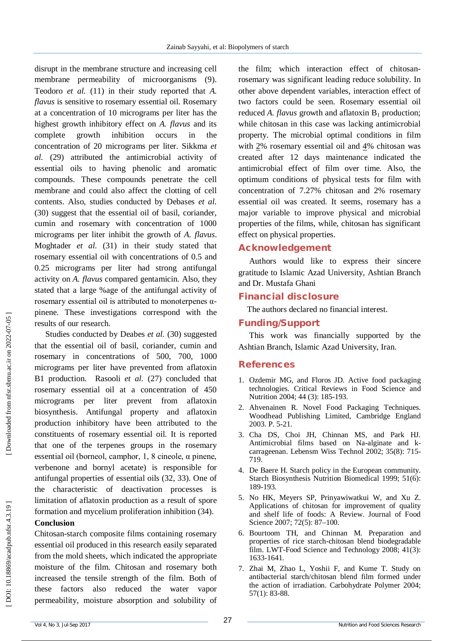disrupt in the membrane structure and increasing cell membrane permeability of microorganisms (9). Teodoro *et al.* (11) in their study reported that *A. flavus* is sensitive to rosemary essential oil. Rosemary at a concentration of 10 micrograms per liter has the highest growth inhibitory effect on *A. flavus* and its complete growth inhibition occurs in the concentration of 20 micrograms per liter. Sikkma *et al.* (29) attributed the antimicrobial activity of essential oils to having phenolic and aromatic compounds. These compounds penetrate the cell membrane and could also affect the clotting of cell contents. Also, studies conducted by Debases *et al.* (30) suggest that the essential oil of basil, coriander, cumin and rosemary with concentration of 1000 micrograms per liter inhibit the growth of *A. flavus*. Moghtader *et al.* (31) in their study stated that rosemary essential oil with concentrations of 0.5 and 0.25 micrograms per liter had strong antifungal activity on *A. flavus* compared gentamicin. Also, they stated that a large %age of the antifungal activity of rosemary essential oil is attributed to monoterpenes  $α$ pinene. These investigations correspond with the results of our research.

Studies conducted by Deabes et al. (30) suggested that the essential oil of basil, coriander, cumin and rosemary in concentrations of 500, 700, 1000 micrograms per liter have prevented from aflatoxin B1 production. Rasooli *et al.* (27) concluded that rosemary essential oil at a concentration of 450 micrograms per liter prevent from aflatoxin biosynthesis. Antifungal property and aflatoxin production inhibitory have been attributed to the constituents of rosemary essential oil. It is reported that one of the terpenes groups in the rosemary essential oil (borneol, camphor, 1, 8 cineole, α pinene, verbenone and bornyl acetate) is responsible for antifungal properties of essential oils (32, 33). One of the characteristic of deactivation processes is limitation of aflatoxin production as a result of spore formation and mycelium proliferation inhibition (34).

#### **Conclusion**

Chitosan -starch composite films containing rosemary essential oil produced in this research easily separated from the mold sheets, which indicated the appropriate moisture of the film. Chitosan and rosemary both increased the tensile strength of the film. Both of these factors also reduced the water vapor permeability, moisture absorption and solubility of

the film; which interaction effect of chitosan rosemary was significant leading reduce solubility. In other above dependent variables, interaction effect of two factors could be seen. Rosemary essential oil reduced *A. flavus* growth and aflatoxin B <sup>1</sup> production; while chitosan in this case was lacking antimicrobial property. The microbial optimal conditions in film with  $2\%$  rosemary essential oil and  $4\%$  chitosan was created after 12 days maintenance indicated the antimicrobial effect of film over time. Also, the optimum conditions of physical tests for film with concentration of 7.27% chitosan and 2% rosemary essential oil was created. It seems, rosemary has a major variable to improve physical and microbial properties of the films, while, chitosan has significant effect on physical properties.

## **Acknowledgement**

Authors would like to express their sincere gratitude to Islamic Azad University, Ashtian Branch and Dr. Mustafa Ghani

## **Financial disclosure**

The authors declared no financial interest.

## **Funding/Support**

This work was financially supported by the Ashtian Branch, Islamic Azad University, Iran.

## **References**

- 1. Ozdemir MG, and Floros JD. Active food packaging technologies. Critical Reviews in Food Science and Nutrition 2004; 44 (3): 185 -193.
- 2 . Ahvenainen R. Novel Food Packaging Techniques. Woodhead Publishing Limited, Cambridge England 2003. P. 5 -21.
- 3 . Cha DS, Choi JH, Chinnan MS, and Park HJ. Antimicrobial films based on Na -alginate and k carrageenan. Lebensm Wiss Technol 2002; 35(8): 715 - 719.
- 4 . De Baere H. Starch policy in the European community. Starch Biosynthesis Nutrition Biomedical 1999; 51(6): 189 -193.
- 5 . No HK, Meyers SP, Prinyawiwatkui W, and Xu Z. Applications of chitosan for improvement of quality and shelf life of foods: A Review. Journal of Food Science 2007; 72(5): 87 –100.
- 6 . Bourtoom TH, and Chinnan M. Preparation and properties of rice starch -chitosan blend biodegradable film. LWT-Food Science and Technology 2008; 41(3): 1633 -1641.
- 7 . Zhai M, Zhao L, Yoshii F, and Kume T. Study on antibacterial starch/chitosan blend film formed under the action of irradiation. Carbohydrate Polymer 2004; 57(1): 83 -88.